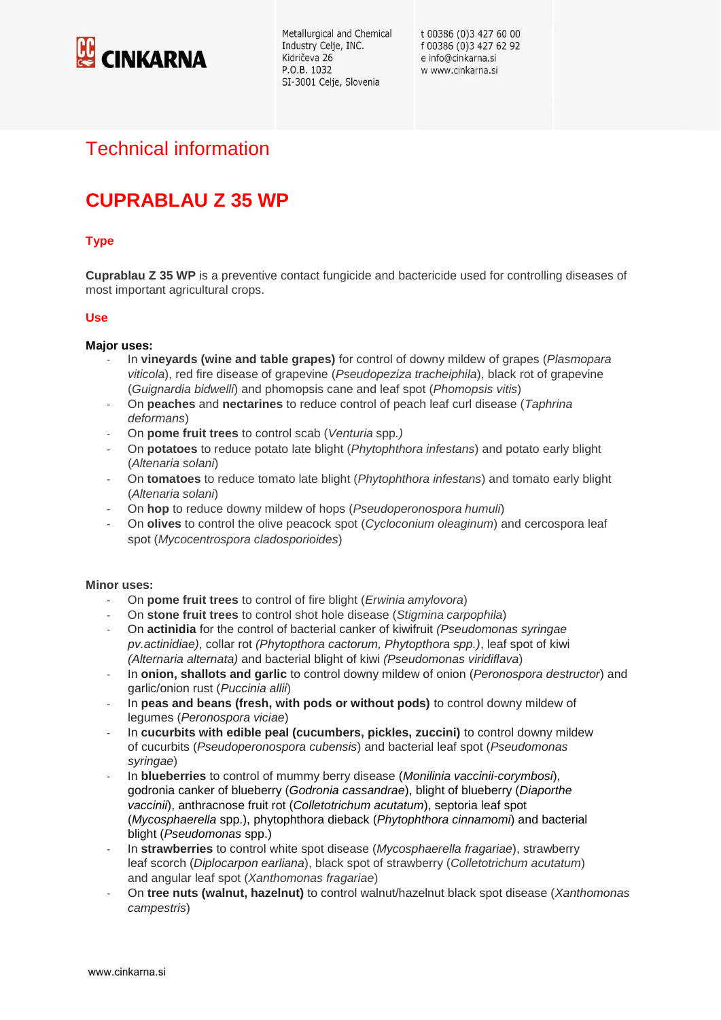

Metallurgical and Chemical Industry Celje, INC. Kidričeva 26 P.O.B. 1032 SI-3001 Celje, Slovenia

t 00386 (0)3 427 60 00 f 00386 (0)3 427 62 92 e info@cinkarna.si w www.cinkarna.si

## Technical information

# **CUPRABLAU Z 35 WP**

## **Type**

**Cuprablau Z 35 WP** is a preventive contact fungicide and bactericide used for controlling diseases of most important agricultural crops.

#### **Use**

#### **Major uses:**

- In **vineyards (wine and table grapes)** for control of downy mildew of grapes (*Plasmopara viticola*), red fire disease of grapevine (*Pseudopeziza tracheiphila*), black rot of grapevine (*Guignardia bidwelli*) and phomopsis cane and leaf spot (*Phomopsis vitis*)
- On **peaches** and **nectarines** to reduce control of peach leaf curl disease (*Taphrina deformans*)
- On **pome fruit trees** to control scab (*Venturia* spp*.)*
- On **potatoes** to reduce potato late blight (*Phytophthora infestans*) and potato early blight (*Altenaria solani*)
- On **tomatoes** to reduce tomato late blight (*Phytophthora infestans*) and tomato early blight (*Altenaria solani*)
- On **hop** to reduce downy mildew of hops (*Pseudoperonospora humuli*)
- On **olives** to control the olive peacock spot (*Cycloconium oleaginum*) and cercospora leaf spot (*Mycocentrospora cladosporioides*)

#### **Minor uses:**

- On **pome fruit trees** to control of fire blight (*Erwinia amylovora*)
- On **stone fruit trees** to control shot hole disease (*Stigmina carpophila*)
- On **actinidia** for the control of bacterial canker of kiwifruit *(Pseudomonas syringae pv.actinidiae)*, collar rot *(Phytopthora cactorum, Phytopthora spp.)*, leaf spot of kiwi *(Alternaria alternata)* and bacterial blight of kiwi *(Pseudomonas viridiflava*)
- In **onion, shallots and garlic** to control downy mildew of onion (*Peronospora destructor*) and garlic/onion rust (*Puccinia allii*)
- In **peas and beans (fresh, with pods or without pods)** to control downy mildew of legumes (*Peronospora viciae*)
- In **cucurbits with edible peal (cucumbers, pickles, zuccini)** to control downy mildew of cucurbits (*Pseudoperonospora cubensis*) and bacterial leaf spot (*Pseudomonas syringae*)
- In **blueberries** to control of mummy berry disease (*Monilinia vaccinii-corymbosi*), godronia canker of blueberry (*Godronia cassandrae*), blight of blueberry (*Diaporthe vaccinii*), anthracnose fruit rot (*Colletotrichum acutatum*), septoria leaf spot (*Mycosphaerella* spp.), phytophthora dieback (*Phytophthora cinnamomi*) and bacterial blight (*Pseudomonas* spp.)
- In **strawberries** to control white spot disease (*Mycosphaerella fragariae*), strawberry leaf scorch (*Diplocarpon earliana*), black spot of strawberry (*Colletotrichum acutatum*) and angular leaf spot (*Xanthomonas fragariae*)
- On **tree nuts (walnut, hazelnut)** to control walnut/hazelnut black spot disease (*Xanthomonas campestris*)